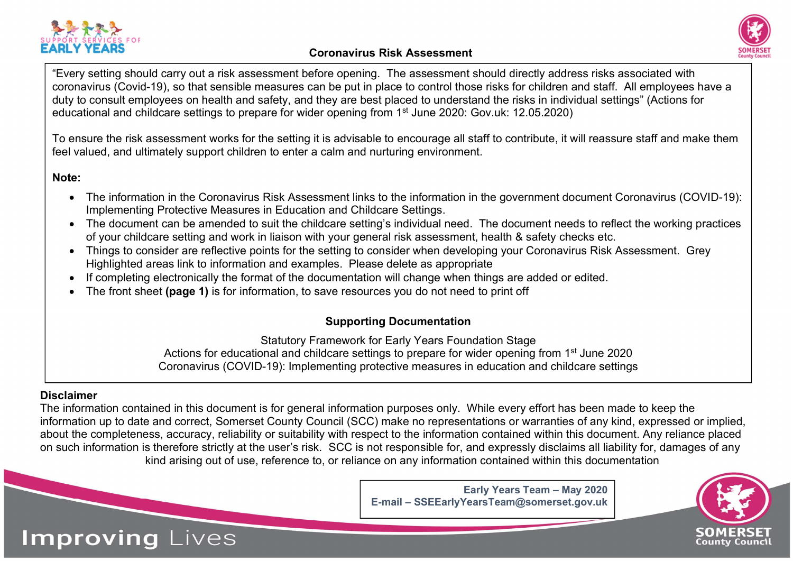

## Coronavirus Risk Assessment



"Every setting should carry out a risk assessment before opening. The assessment should directly address risks associated with coronavirus (Covid-19), so that sensible measures can be put in place to control those risks for children and staff. All employees have a duty to consult employees on health and safety, and they are best placed to understand the risks in individual settings" (Actions for educational and childcare settings to prepare for wider opening from 1<sup>st</sup> June 2020: Gov.uk: 12.05.2020)

To ensure the risk assessment works for the setting it is advisable to encourage all staff to contribute, it will reassure staff and make them feel valued, and ultimately support children to enter a calm and nurturing environment.

Note:

- The information in the Coronavirus Risk Assessment links to the information in the government document Coronavirus (COVID-19): Implementing Protective Measures in Education and Childcare Settings.
- The document can be amended to suit the childcare setting's individual need. The document needs to reflect the working practices of your childcare setting and work in liaison with your general risk assessment, health & safety checks etc.
- Things to consider are reflective points for the setting to consider when developing your Coronavirus Risk Assessment. Grey Highlighted areas link to information and examples. Please delete as appropriate
- If completing electronically the format of the documentation will change when things are added or edited.
- The front sheet (page 1) is for information, to save resources you do not need to print off

## Supporting Documentation

Statutory Framework for Early Years Foundation Stage Actions for educational and childcare settings to prepare for wider opening from 1<sup>st</sup> June 2020 Coronavirus (COVID-19): Implementing protective measures in education and childcare settings

## Disclaimer

Improving Lives

The information contained in this document is for general information purposes only. While every effort has been made to keep the information up to date and correct, Somerset County Council (SCC) make no representations or warranties of any kind, expressed or implied, about the completeness, accuracy, reliability or suitability with respect to the information contained within this document. Any reliance placed on such information is therefore strictly at the user's risk. SCC is not responsible for, and expressly disclaims all liability for, damages of any kind arising out of use, reference to, or reliance on any information contained within this documentation

> Early Years Team – May 2020 E-mail – SSEEarlyYearsTeam@somerset.gov.uk

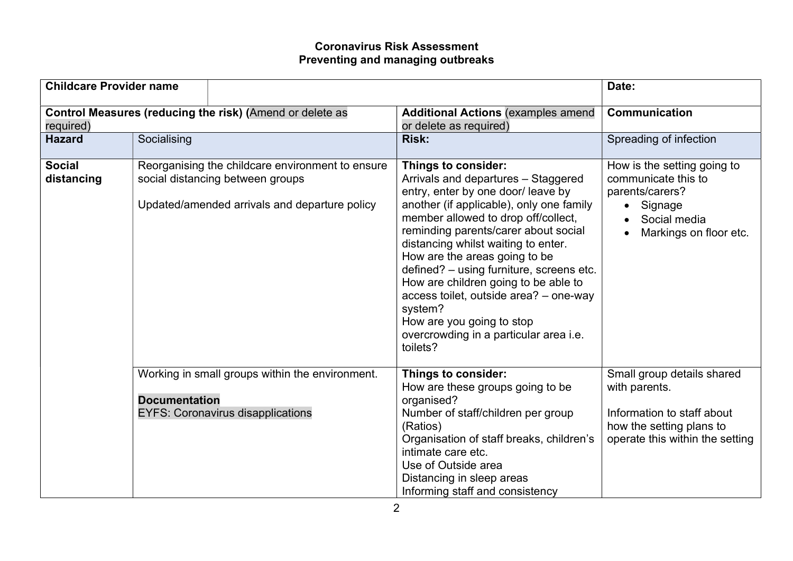## Coronavirus Risk Assessment Preventing and managing outbreaks

| <b>Childcare Provider name</b> |                      |                                                                                                                                       |                                                                                                                                                                                                                                                                                                                                                                                                                                                                                                                                 | Date:                                                                                                                                    |
|--------------------------------|----------------------|---------------------------------------------------------------------------------------------------------------------------------------|---------------------------------------------------------------------------------------------------------------------------------------------------------------------------------------------------------------------------------------------------------------------------------------------------------------------------------------------------------------------------------------------------------------------------------------------------------------------------------------------------------------------------------|------------------------------------------------------------------------------------------------------------------------------------------|
| required)                      |                      | Control Measures (reducing the risk) (Amend or delete as                                                                              | <b>Additional Actions (examples amend</b><br>or delete as required)                                                                                                                                                                                                                                                                                                                                                                                                                                                             | Communication                                                                                                                            |
| <b>Hazard</b>                  | Socialising          |                                                                                                                                       | <b>Risk:</b>                                                                                                                                                                                                                                                                                                                                                                                                                                                                                                                    | Spreading of infection                                                                                                                   |
| <b>Social</b><br>distancing    |                      | Reorganising the childcare environment to ensure<br>social distancing between groups<br>Updated/amended arrivals and departure policy | Things to consider:<br>Arrivals and departures - Staggered<br>entry, enter by one door/ leave by<br>another (if applicable), only one family<br>member allowed to drop off/collect,<br>reminding parents/carer about social<br>distancing whilst waiting to enter.<br>How are the areas going to be<br>defined? - using furniture, screens etc.<br>How are children going to be able to<br>access toilet, outside area? - one-way<br>system?<br>How are you going to stop<br>overcrowding in a particular area i.e.<br>toilets? | How is the setting going to<br>communicate this to<br>parents/carers?<br>Signage<br>Social media<br>Markings on floor etc.               |
|                                | <b>Documentation</b> | Working in small groups within the environment.<br><b>EYFS: Coronavirus disapplications</b>                                           | <b>Things to consider:</b><br>How are these groups going to be<br>organised?<br>Number of staff/children per group<br>(Ratios)<br>Organisation of staff breaks, children's<br>intimate care etc.<br>Use of Outside area<br>Distancing in sleep areas<br>Informing staff and consistency                                                                                                                                                                                                                                         | Small group details shared<br>with parents.<br>Information to staff about<br>how the setting plans to<br>operate this within the setting |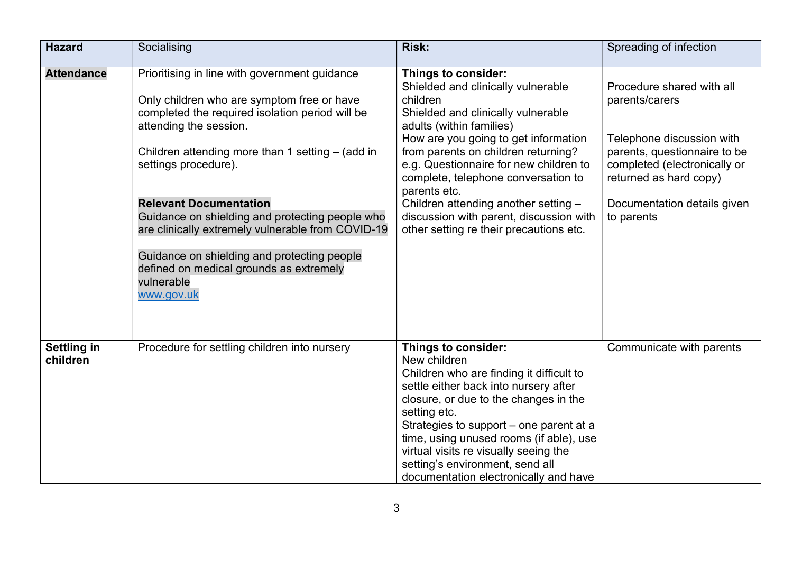| <b>Hazard</b>                  | Socialising                                                                                                                                                                                                                                                                                                                                                                                                                                                                                                           | <b>Risk:</b>                                                                                                                                                                                                                                                                                                                                                                                                                                          | Spreading of infection                                                                                                                                                                                          |
|--------------------------------|-----------------------------------------------------------------------------------------------------------------------------------------------------------------------------------------------------------------------------------------------------------------------------------------------------------------------------------------------------------------------------------------------------------------------------------------------------------------------------------------------------------------------|-------------------------------------------------------------------------------------------------------------------------------------------------------------------------------------------------------------------------------------------------------------------------------------------------------------------------------------------------------------------------------------------------------------------------------------------------------|-----------------------------------------------------------------------------------------------------------------------------------------------------------------------------------------------------------------|
| <b>Attendance</b>              | Prioritising in line with government guidance<br>Only children who are symptom free or have<br>completed the required isolation period will be<br>attending the session.<br>Children attending more than 1 setting $-$ (add in<br>settings procedure).<br><b>Relevant Documentation</b><br>Guidance on shielding and protecting people who<br>are clinically extremely vulnerable from COVID-19<br>Guidance on shielding and protecting people<br>defined on medical grounds as extremely<br>vulnerable<br>www.gov.uk | Things to consider:<br>Shielded and clinically vulnerable<br>children<br>Shielded and clinically vulnerable<br>adults (within families)<br>How are you going to get information<br>from parents on children returning?<br>e.g. Questionnaire for new children to<br>complete, telephone conversation to<br>parents etc.<br>Children attending another setting -<br>discussion with parent, discussion with<br>other setting re their precautions etc. | Procedure shared with all<br>parents/carers<br>Telephone discussion with<br>parents, questionnaire to be<br>completed (electronically or<br>returned as hard copy)<br>Documentation details given<br>to parents |
| <b>Settling in</b><br>children | Procedure for settling children into nursery                                                                                                                                                                                                                                                                                                                                                                                                                                                                          | Things to consider:<br>New children<br>Children who are finding it difficult to<br>settle either back into nursery after<br>closure, or due to the changes in the<br>setting etc.<br>Strategies to support – one parent at a<br>time, using unused rooms (if able), use<br>virtual visits re visually seeing the<br>setting's environment, send all<br>documentation electronically and have                                                          | Communicate with parents                                                                                                                                                                                        |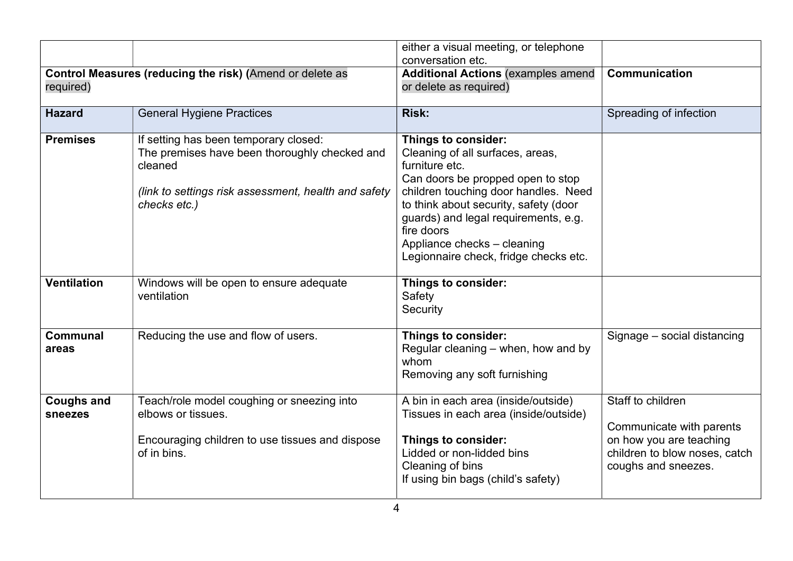|                                     |                                                                                                                                                                           | either a visual meeting, or telephone<br>conversation etc.                                                                                                                                                                                                                                                                    |                                                                                                                                  |
|-------------------------------------|---------------------------------------------------------------------------------------------------------------------------------------------------------------------------|-------------------------------------------------------------------------------------------------------------------------------------------------------------------------------------------------------------------------------------------------------------------------------------------------------------------------------|----------------------------------------------------------------------------------------------------------------------------------|
| required)                           | Control Measures (reducing the risk) (Amend or delete as                                                                                                                  | <b>Additional Actions (examples amend</b><br>or delete as required)                                                                                                                                                                                                                                                           | Communication                                                                                                                    |
| <b>Hazard</b>                       | <b>General Hygiene Practices</b>                                                                                                                                          | <b>Risk:</b>                                                                                                                                                                                                                                                                                                                  | Spreading of infection                                                                                                           |
| <b>Premises</b>                     | If setting has been temporary closed:<br>The premises have been thoroughly checked and<br>cleaned<br>(link to settings risk assessment, health and safety<br>checks etc.) | Things to consider:<br>Cleaning of all surfaces, areas,<br>furniture etc.<br>Can doors be propped open to stop<br>children touching door handles. Need<br>to think about security, safety (door<br>guards) and legal requirements, e.g.<br>fire doors<br>Appliance checks - cleaning<br>Legionnaire check, fridge checks etc. |                                                                                                                                  |
| <b>Ventilation</b>                  | Windows will be open to ensure adequate<br>ventilation                                                                                                                    | Things to consider:<br>Safety<br>Security                                                                                                                                                                                                                                                                                     |                                                                                                                                  |
| <b>Communal</b><br>areas            | Reducing the use and flow of users.                                                                                                                                       | Things to consider:<br>Regular cleaning – when, how and by<br>whom<br>Removing any soft furnishing                                                                                                                                                                                                                            | Signage - social distancing                                                                                                      |
| <b>Coughs and</b><br><b>sneezes</b> | Teach/role model coughing or sneezing into<br>elbows or tissues.<br>Encouraging children to use tissues and dispose<br>of in bins.                                        | A bin in each area (inside/outside)<br>Tissues in each area (inside/outside)<br><b>Things to consider:</b><br>Lidded or non-lidded bins<br>Cleaning of bins<br>If using bin bags (child's safety)                                                                                                                             | Staff to children<br>Communicate with parents<br>on how you are teaching<br>children to blow noses, catch<br>coughs and sneezes. |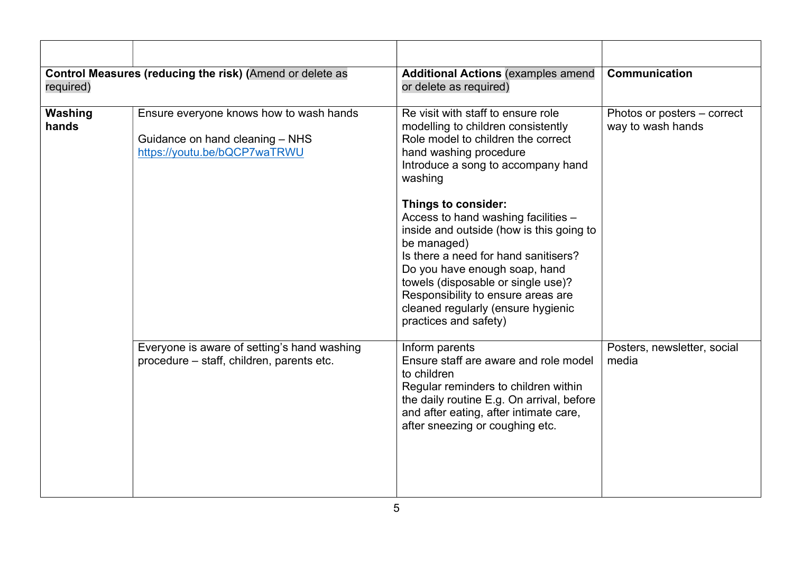| required)        | Control Measures (reducing the risk) (Amend or delete as                                                   | <b>Additional Actions (examples amend</b><br>or delete as required)                                                                                                                                                                                                                                                                       | <b>Communication</b>                             |
|------------------|------------------------------------------------------------------------------------------------------------|-------------------------------------------------------------------------------------------------------------------------------------------------------------------------------------------------------------------------------------------------------------------------------------------------------------------------------------------|--------------------------------------------------|
| Washing<br>hands | Ensure everyone knows how to wash hands<br>Guidance on hand cleaning - NHS<br>https://youtu.be/bQCP7waTRWU | Re visit with staff to ensure role<br>modelling to children consistently<br>Role model to children the correct<br>hand washing procedure<br>Introduce a song to accompany hand<br>washing                                                                                                                                                 | Photos or posters – correct<br>way to wash hands |
|                  |                                                                                                            | Things to consider:<br>Access to hand washing facilities -<br>inside and outside (how is this going to<br>be managed)<br>Is there a need for hand sanitisers?<br>Do you have enough soap, hand<br>towels (disposable or single use)?<br>Responsibility to ensure areas are<br>cleaned regularly (ensure hygienic<br>practices and safety) |                                                  |
|                  | Everyone is aware of setting's hand washing<br>procedure - staff, children, parents etc.                   | Inform parents<br>Ensure staff are aware and role model<br>to children<br>Regular reminders to children within<br>the daily routine E.g. On arrival, before<br>and after eating, after intimate care,<br>after sneezing or coughing etc.                                                                                                  | Posters, newsletter, social<br>media             |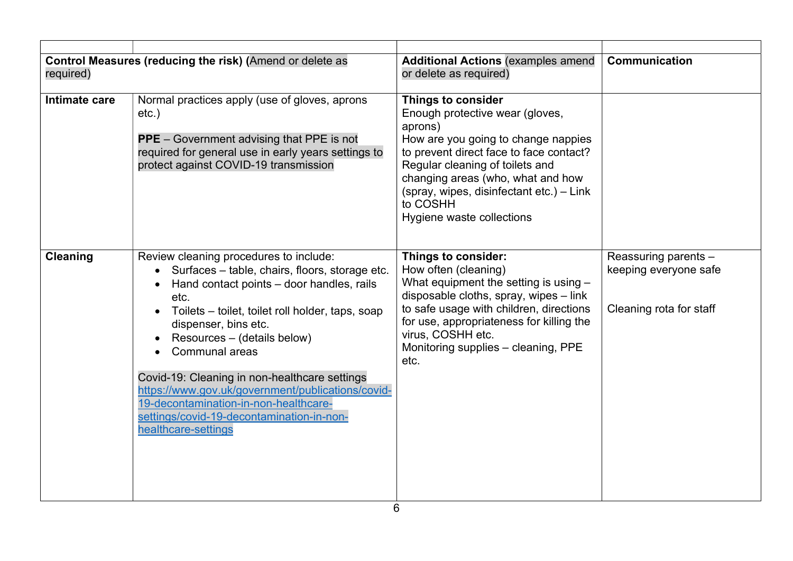| required)     | Control Measures (reducing the risk) (Amend or delete as                                                                                                                                                                                                                                                                                                                                                                                                                                             | <b>Additional Actions (examples amend)</b><br>or delete as required)                                                                                                                                                                                                                                            | <b>Communication</b>                                                     |
|---------------|------------------------------------------------------------------------------------------------------------------------------------------------------------------------------------------------------------------------------------------------------------------------------------------------------------------------------------------------------------------------------------------------------------------------------------------------------------------------------------------------------|-----------------------------------------------------------------------------------------------------------------------------------------------------------------------------------------------------------------------------------------------------------------------------------------------------------------|--------------------------------------------------------------------------|
| Intimate care | Normal practices apply (use of gloves, aprons<br>$etc.$ )<br><b>PPE</b> – Government advising that PPE is not<br>required for general use in early years settings to<br>protect against COVID-19 transmission                                                                                                                                                                                                                                                                                        | Things to consider<br>Enough protective wear (gloves,<br>aprons)<br>How are you going to change nappies<br>to prevent direct face to face contact?<br>Regular cleaning of toilets and<br>changing areas (who, what and how<br>(spray, wipes, disinfectant etc.) - Link<br>to COSHH<br>Hygiene waste collections |                                                                          |
| Cleaning      | Review cleaning procedures to include:<br>Surfaces - table, chairs, floors, storage etc.<br>Hand contact points - door handles, rails<br>etc.<br>Toilets - toilet, toilet roll holder, taps, soap<br>dispenser, bins etc.<br>Resources – (details below)<br><b>Communal areas</b><br>Covid-19: Cleaning in non-healthcare settings<br>https://www.gov.uk/government/publications/covid-<br>19-decontamination-in-non-healthcare-<br>settings/covid-19-decontamination-in-non-<br>healthcare-settings | Things to consider:<br>How often (cleaning)<br>What equipment the setting is using $-$<br>disposable cloths, spray, wipes - link<br>to safe usage with children, directions<br>for use, appropriateness for killing the<br>virus, COSHH etc.<br>Monitoring supplies - cleaning, PPE<br>etc.                     | Reassuring parents -<br>keeping everyone safe<br>Cleaning rota for staff |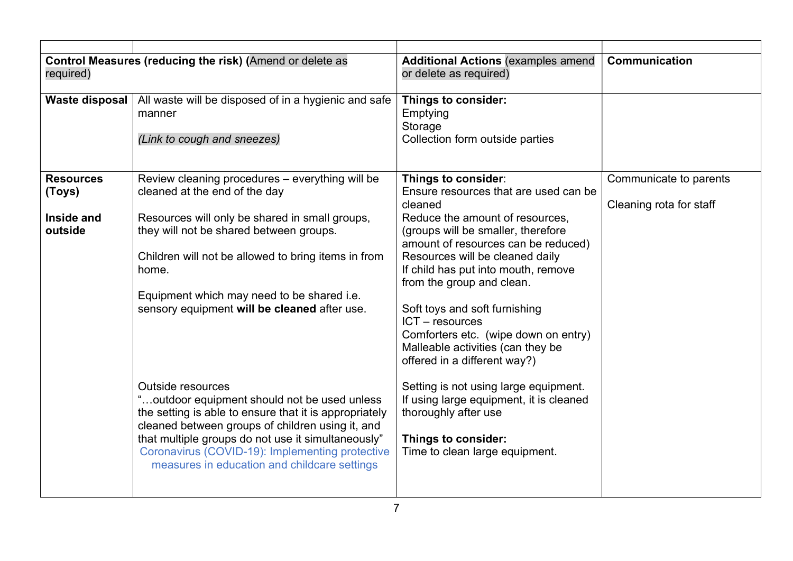| required)                                           | Control Measures (reducing the risk) (Amend or delete as                                                                                                                                                                                                                                                                                                                                                                                                                                                                                                                                                                                       | <b>Additional Actions (examples amend</b><br>or delete as required)                                                                                                                                                                                                                                                                                                                                                                                                                                                                                                                                                                    | Communication                                     |
|-----------------------------------------------------|------------------------------------------------------------------------------------------------------------------------------------------------------------------------------------------------------------------------------------------------------------------------------------------------------------------------------------------------------------------------------------------------------------------------------------------------------------------------------------------------------------------------------------------------------------------------------------------------------------------------------------------------|----------------------------------------------------------------------------------------------------------------------------------------------------------------------------------------------------------------------------------------------------------------------------------------------------------------------------------------------------------------------------------------------------------------------------------------------------------------------------------------------------------------------------------------------------------------------------------------------------------------------------------------|---------------------------------------------------|
| Waste disposal                                      | All waste will be disposed of in a hygienic and safe<br>manner<br>(Link to cough and sneezes)                                                                                                                                                                                                                                                                                                                                                                                                                                                                                                                                                  | Things to consider:<br>Emptying<br>Storage<br>Collection form outside parties                                                                                                                                                                                                                                                                                                                                                                                                                                                                                                                                                          |                                                   |
| <b>Resources</b><br>(Toys)<br>Inside and<br>outside | Review cleaning procedures - everything will be<br>cleaned at the end of the day<br>Resources will only be shared in small groups,<br>they will not be shared between groups.<br>Children will not be allowed to bring items in from<br>home.<br>Equipment which may need to be shared i.e.<br>sensory equipment will be cleaned after use.<br><b>Outside resources</b><br>"outdoor equipment should not be used unless<br>the setting is able to ensure that it is appropriately<br>cleaned between groups of children using it, and<br>that multiple groups do not use it simultaneously"<br>Coronavirus (COVID-19): Implementing protective | Things to consider:<br>Ensure resources that are used can be<br>cleaned<br>Reduce the amount of resources,<br>(groups will be smaller, therefore<br>amount of resources can be reduced)<br>Resources will be cleaned daily<br>If child has put into mouth, remove<br>from the group and clean.<br>Soft toys and soft furnishing<br>$ICT - resources$<br>Comforters etc. (wipe down on entry)<br>Malleable activities (can they be<br>offered in a different way?)<br>Setting is not using large equipment.<br>If using large equipment, it is cleaned<br>thoroughly after use<br>Things to consider:<br>Time to clean large equipment. | Communicate to parents<br>Cleaning rota for staff |
|                                                     | measures in education and childcare settings                                                                                                                                                                                                                                                                                                                                                                                                                                                                                                                                                                                                   |                                                                                                                                                                                                                                                                                                                                                                                                                                                                                                                                                                                                                                        |                                                   |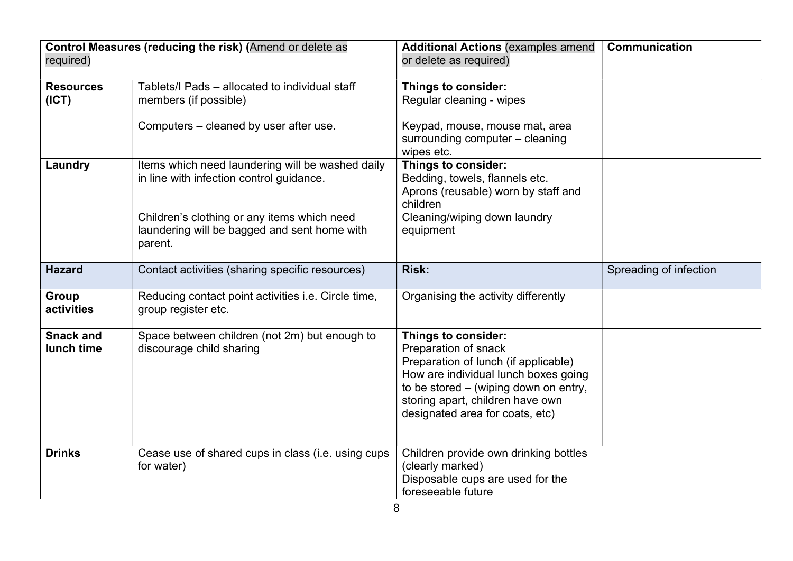| required)                      | Control Measures (reducing the risk) (Amend or delete as                                                                                                                                               | <b>Additional Actions (examples amend</b><br>or delete as required)                                                                                                                                                                         | Communication          |
|--------------------------------|--------------------------------------------------------------------------------------------------------------------------------------------------------------------------------------------------------|---------------------------------------------------------------------------------------------------------------------------------------------------------------------------------------------------------------------------------------------|------------------------|
| <b>Resources</b><br>(ICT)      | Tablets/I Pads - allocated to individual staff<br>members (if possible)                                                                                                                                | Things to consider:<br>Regular cleaning - wipes                                                                                                                                                                                             |                        |
|                                | Computers - cleaned by user after use.                                                                                                                                                                 | Keypad, mouse, mouse mat, area<br>surrounding computer - cleaning<br>wipes etc.                                                                                                                                                             |                        |
| Laundry                        | Items which need laundering will be washed daily<br>in line with infection control guidance.<br>Children's clothing or any items which need<br>laundering will be bagged and sent home with<br>parent. | Things to consider:<br>Bedding, towels, flannels etc.<br>Aprons (reusable) worn by staff and<br>children<br>Cleaning/wiping down laundry<br>equipment                                                                                       |                        |
| <b>Hazard</b>                  | Contact activities (sharing specific resources)                                                                                                                                                        | <b>Risk:</b>                                                                                                                                                                                                                                | Spreading of infection |
| Group<br>activities            | Reducing contact point activities i.e. Circle time,<br>group register etc.                                                                                                                             | Organising the activity differently                                                                                                                                                                                                         |                        |
| <b>Snack and</b><br>lunch time | Space between children (not 2m) but enough to<br>discourage child sharing                                                                                                                              | Things to consider:<br>Preparation of snack<br>Preparation of lunch (if applicable)<br>How are individual lunch boxes going<br>to be stored – (wiping down on entry,<br>storing apart, children have own<br>designated area for coats, etc) |                        |
| <b>Drinks</b>                  | Cease use of shared cups in class (i.e. using cups<br>for water)                                                                                                                                       | Children provide own drinking bottles<br>(clearly marked)<br>Disposable cups are used for the<br>foreseeable future                                                                                                                         |                        |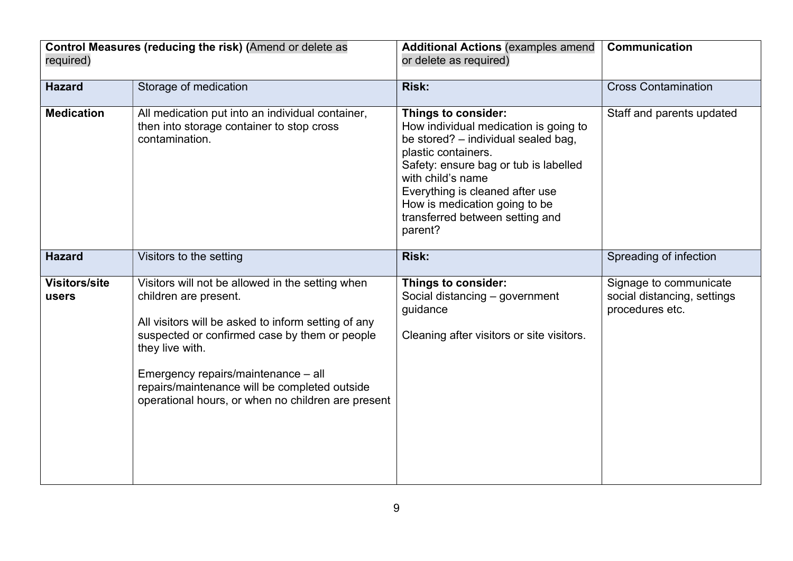| Control Measures (reducing the risk) (Amend or delete as<br>required) |                                                                                                                                                                                                                                                                                                                                                    | <b>Additional Actions (examples amend</b><br>or delete as required)                                                                                                                                                                                                                                        | Communication                                                            |
|-----------------------------------------------------------------------|----------------------------------------------------------------------------------------------------------------------------------------------------------------------------------------------------------------------------------------------------------------------------------------------------------------------------------------------------|------------------------------------------------------------------------------------------------------------------------------------------------------------------------------------------------------------------------------------------------------------------------------------------------------------|--------------------------------------------------------------------------|
| <b>Hazard</b>                                                         | Storage of medication                                                                                                                                                                                                                                                                                                                              | <b>Risk:</b>                                                                                                                                                                                                                                                                                               | <b>Cross Contamination</b>                                               |
| <b>Medication</b>                                                     | All medication put into an individual container,<br>then into storage container to stop cross<br>contamination.                                                                                                                                                                                                                                    | Things to consider:<br>How individual medication is going to<br>be stored? - individual sealed bag,<br>plastic containers.<br>Safety: ensure bag or tub is labelled<br>with child's name<br>Everything is cleaned after use<br>How is medication going to be<br>transferred between setting and<br>parent? | Staff and parents updated                                                |
| <b>Hazard</b>                                                         | Visitors to the setting                                                                                                                                                                                                                                                                                                                            | <b>Risk:</b>                                                                                                                                                                                                                                                                                               | Spreading of infection                                                   |
| <b>Visitors/site</b><br>users                                         | Visitors will not be allowed in the setting when<br>children are present.<br>All visitors will be asked to inform setting of any<br>suspected or confirmed case by them or people<br>they live with.<br>Emergency repairs/maintenance - all<br>repairs/maintenance will be completed outside<br>operational hours, or when no children are present | Things to consider:<br>Social distancing - government<br>quidance<br>Cleaning after visitors or site visitors.                                                                                                                                                                                             | Signage to communicate<br>social distancing, settings<br>procedures etc. |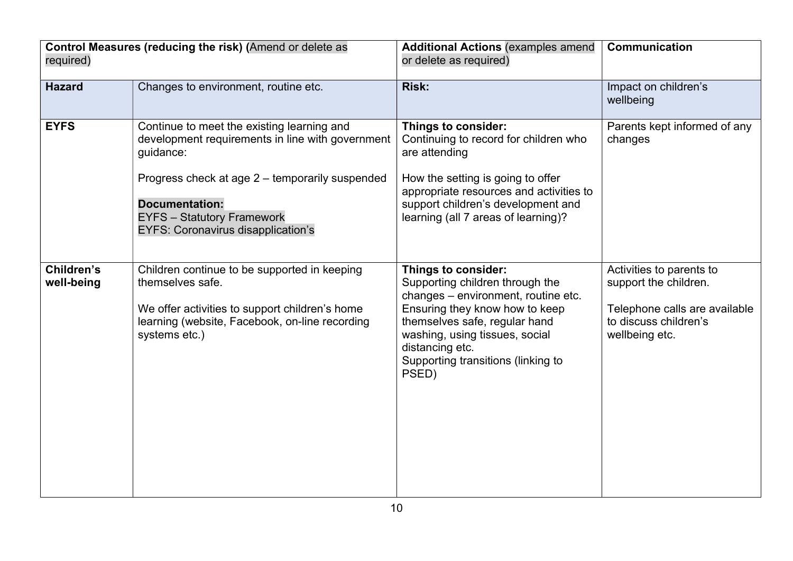| Control Measures (reducing the risk) (Amend or delete as<br>required) |                                                                                                                                                                                                                                                                           | <b>Additional Actions (examples amend</b><br>or delete as required)                                                                                                                                                                                                  | <b>Communication</b>                                                                                                          |
|-----------------------------------------------------------------------|---------------------------------------------------------------------------------------------------------------------------------------------------------------------------------------------------------------------------------------------------------------------------|----------------------------------------------------------------------------------------------------------------------------------------------------------------------------------------------------------------------------------------------------------------------|-------------------------------------------------------------------------------------------------------------------------------|
| <b>Hazard</b>                                                         | Changes to environment, routine etc.                                                                                                                                                                                                                                      | <b>Risk:</b>                                                                                                                                                                                                                                                         | Impact on children's<br>wellbeing                                                                                             |
| <b>EYFS</b>                                                           | Continue to meet the existing learning and<br>development requirements in line with government<br>guidance:<br>Progress check at age 2 – temporarily suspended<br><b>Documentation:</b><br><b>EYFS</b> - Statutory Framework<br><b>EYFS: Coronavirus disapplication's</b> | Things to consider:<br>Continuing to record for children who<br>are attending<br>How the setting is going to offer<br>appropriate resources and activities to<br>support children's development and<br>learning (all 7 areas of learning)?                           | Parents kept informed of any<br>changes                                                                                       |
| Children's<br>well-being                                              | Children continue to be supported in keeping<br>themselves safe.<br>We offer activities to support children's home<br>learning (website, Facebook, on-line recording<br>systems etc.)                                                                                     | Things to consider:<br>Supporting children through the<br>changes - environment, routine etc.<br>Ensuring they know how to keep<br>themselves safe, regular hand<br>washing, using tissues, social<br>distancing etc.<br>Supporting transitions (linking to<br>PSED) | Activities to parents to<br>support the children.<br>Telephone calls are available<br>to discuss children's<br>wellbeing etc. |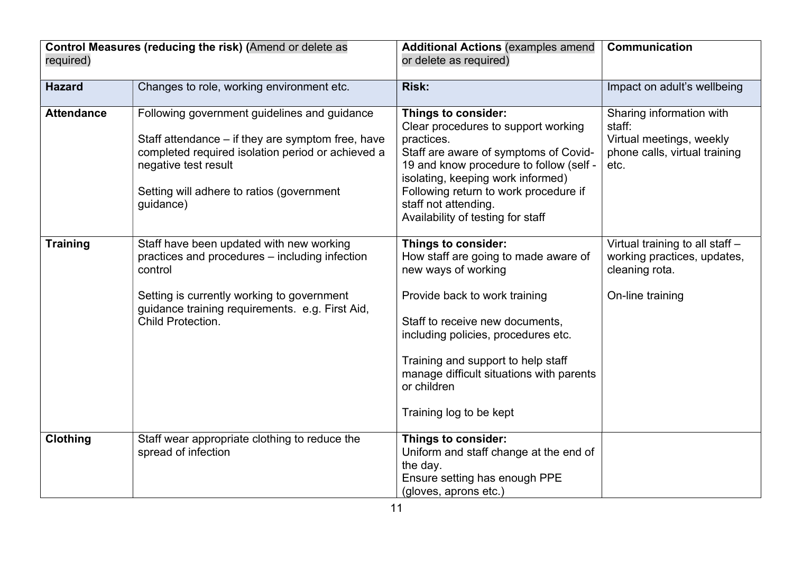|                   | Control Measures (reducing the risk) (Amend or delete as                                                                                                                                                                                 | <b>Additional Actions (examples amend</b>                                                                                                                                                                                                                                                                                 | <b>Communication</b>                                                                                    |
|-------------------|------------------------------------------------------------------------------------------------------------------------------------------------------------------------------------------------------------------------------------------|---------------------------------------------------------------------------------------------------------------------------------------------------------------------------------------------------------------------------------------------------------------------------------------------------------------------------|---------------------------------------------------------------------------------------------------------|
| required)         |                                                                                                                                                                                                                                          | or delete as required)                                                                                                                                                                                                                                                                                                    |                                                                                                         |
| <b>Hazard</b>     | Changes to role, working environment etc.                                                                                                                                                                                                | <b>Risk:</b>                                                                                                                                                                                                                                                                                                              | Impact on adult's wellbeing                                                                             |
| <b>Attendance</b> | Following government guidelines and guidance<br>Staff attendance – if they are symptom free, have<br>completed required isolation period or achieved a<br>negative test result<br>Setting will adhere to ratios (government<br>guidance) | Things to consider:<br>Clear procedures to support working<br>practices.<br>Staff are aware of symptoms of Covid-<br>19 and know procedure to follow (self -<br>isolating, keeping work informed)<br>Following return to work procedure if<br>staff not attending.<br>Availability of testing for staff                   | Sharing information with<br>staff:<br>Virtual meetings, weekly<br>phone calls, virtual training<br>etc. |
| <b>Training</b>   | Staff have been updated with new working<br>practices and procedures – including infection<br>control<br>Setting is currently working to government<br>guidance training requirements. e.g. First Aid,<br>Child Protection.              | Things to consider:<br>How staff are going to made aware of<br>new ways of working<br>Provide back to work training<br>Staff to receive new documents,<br>including policies, procedures etc.<br>Training and support to help staff<br>manage difficult situations with parents<br>or children<br>Training log to be kept | Virtual training to all staff -<br>working practices, updates,<br>cleaning rota.<br>On-line training    |
| <b>Clothing</b>   | Staff wear appropriate clothing to reduce the<br>spread of infection                                                                                                                                                                     | Things to consider:<br>Uniform and staff change at the end of<br>the day.<br>Ensure setting has enough PPE<br>(gloves, aprons etc.)                                                                                                                                                                                       |                                                                                                         |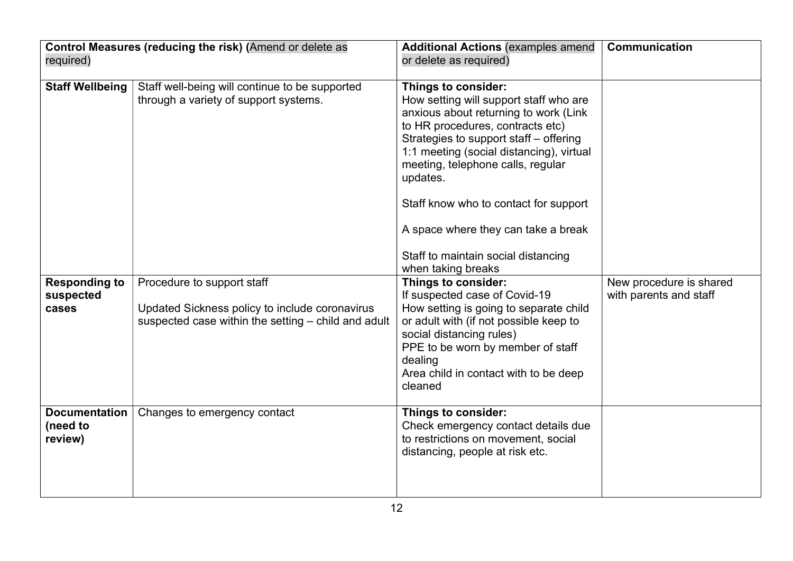| required)                                   | Control Measures (reducing the risk) (Amend or delete as                                                                            | <b>Additional Actions (examples amend</b><br>or delete as required)                                                                                                                                                                                                                                                                                                                                                            | Communication                                     |
|---------------------------------------------|-------------------------------------------------------------------------------------------------------------------------------------|--------------------------------------------------------------------------------------------------------------------------------------------------------------------------------------------------------------------------------------------------------------------------------------------------------------------------------------------------------------------------------------------------------------------------------|---------------------------------------------------|
| <b>Staff Wellbeing</b>                      | Staff well-being will continue to be supported<br>through a variety of support systems.                                             | Things to consider:<br>How setting will support staff who are<br>anxious about returning to work (Link<br>to HR procedures, contracts etc)<br>Strategies to support staff - offering<br>1:1 meeting (social distancing), virtual<br>meeting, telephone calls, regular<br>updates.<br>Staff know who to contact for support<br>A space where they can take a break<br>Staff to maintain social distancing<br>when taking breaks |                                                   |
| <b>Responding to</b><br>suspected<br>cases  | Procedure to support staff<br>Updated Sickness policy to include coronavirus<br>suspected case within the setting – child and adult | Things to consider:<br>If suspected case of Covid-19<br>How setting is going to separate child<br>or adult with (if not possible keep to<br>social distancing rules)<br>PPE to be worn by member of staff<br>dealing<br>Area child in contact with to be deep<br>cleaned                                                                                                                                                       | New procedure is shared<br>with parents and staff |
| <b>Documentation</b><br>(need to<br>review) | Changes to emergency contact                                                                                                        | Things to consider:<br>Check emergency contact details due<br>to restrictions on movement, social<br>distancing, people at risk etc.                                                                                                                                                                                                                                                                                           |                                                   |